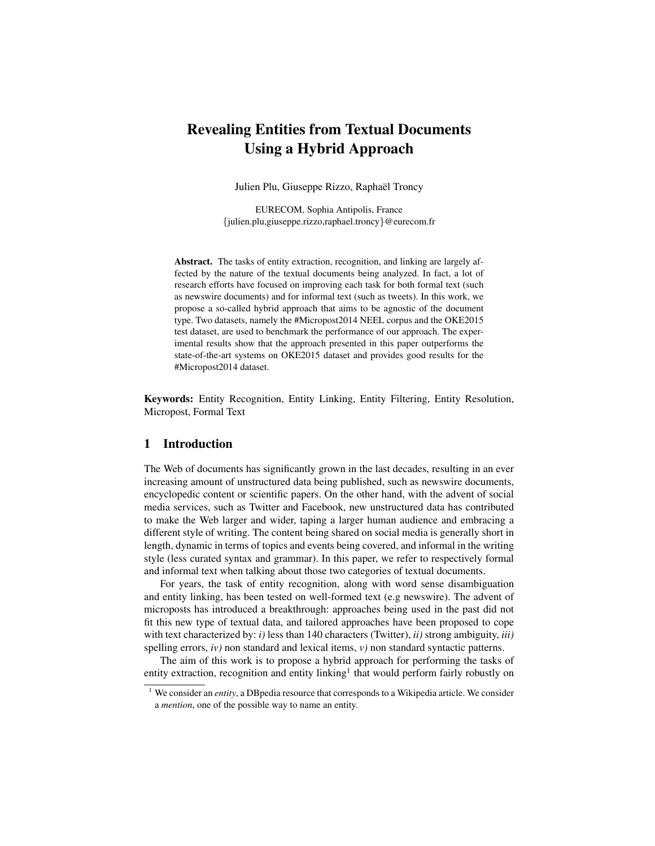# Revealing Entities from Textual Documents Using a Hybrid Approach

Julien Plu, Giuseppe Rizzo, Raphaël Troncy

EURECOM, Sophia Antipolis, France {julien.plu,giuseppe.rizzo,raphael.troncy}@eurecom.fr

Abstract. The tasks of entity extraction, recognition, and linking are largely affected by the nature of the textual documents being analyzed. In fact, a lot of research efforts have focused on improving each task for both formal text (such as newswire documents) and for informal text (such as tweets). In this work, we propose a so-called hybrid approach that aims to be agnostic of the document type. Two datasets, namely the #Micropost2014 NEEL corpus and the OKE2015 test dataset, are used to benchmark the performance of our approach. The experimental results show that the approach presented in this paper outperforms the state-of-the-art systems on OKE2015 dataset and provides good results for the #Micropost2014 dataset.

Keywords: Entity Recognition, Entity Linking, Entity Filtering, Entity Resolution, Micropost, Formal Text

## 1 Introduction

The Web of documents has significantly grown in the last decades, resulting in an ever increasing amount of unstructured data being published, such as newswire documents, encyclopedic content or scientific papers. On the other hand, with the advent of social media services, such as Twitter and Facebook, new unstructured data has contributed to make the Web larger and wider, taping a larger human audience and embracing a different style of writing. The content being shared on social media is generally short in length, dynamic in terms of topics and events being covered, and informal in the writing style (less curated syntax and grammar). In this paper, we refer to respectively formal and informal text when talking about those two categories of textual documents.

For years, the task of entity recognition, along with word sense disambiguation and entity linking, has been tested on well-formed text (e.g newswire). The advent of microposts has introduced a breakthrough: approaches being used in the past did not fit this new type of textual data, and tailored approaches have been proposed to cope with text characterized by: *i)* less than 140 characters (Twitter), *ii)* strong ambiguity, *iii)* spelling errors, *) non standard and lexical items,*  $*v*$ *) non standard syntactic patterns.* 

The aim of this work is to propose a hybrid approach for performing the tasks of entity extraction, recognition and entity linking<sup>[1](#page-0-0)</sup> that would perform fairly robustly on

<span id="page-0-0"></span><sup>&</sup>lt;sup>1</sup> We consider an *entity*, a DBpedia resource that corresponds to a Wikipedia article. We consider a *mention*, one of the possible way to name an entity.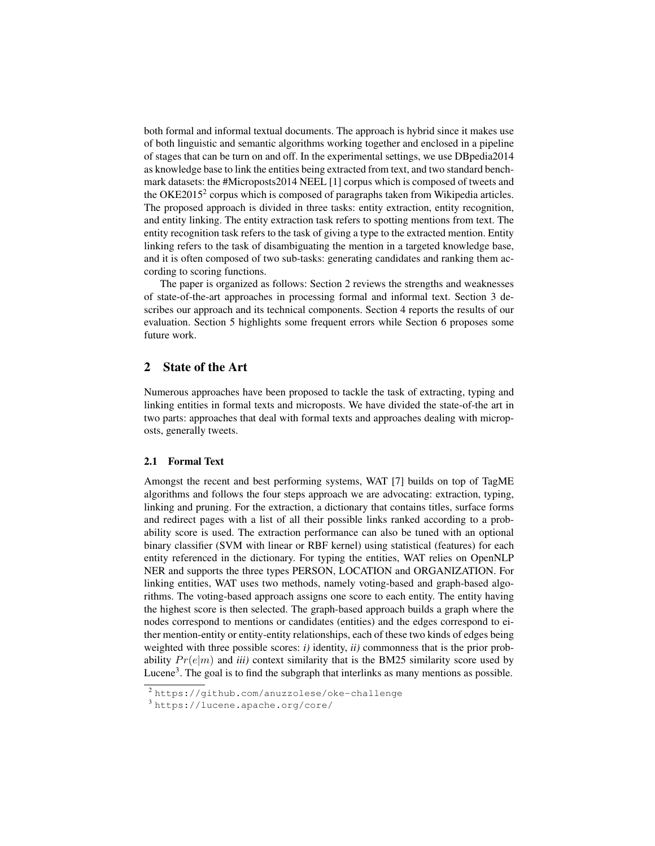both formal and informal textual documents. The approach is hybrid since it makes use of both linguistic and semantic algorithms working together and enclosed in a pipeline of stages that can be turn on and off. In the experimental settings, we use DBpedia2014 as knowledge base to link the entities being extracted from text, and two standard benchmark datasets: the #Microposts2014 NEEL [\[1\]](#page-10-0) corpus which is composed of tweets and the OKE[2](#page-1-0)015<sup>2</sup> corpus which is composed of paragraphs taken from Wikipedia articles. The proposed approach is divided in three tasks: entity extraction, entity recognition, and entity linking. The entity extraction task refers to spotting mentions from text. The entity recognition task refers to the task of giving a type to the extracted mention. Entity linking refers to the task of disambiguating the mention in a targeted knowledge base, and it is often composed of two sub-tasks: generating candidates and ranking them according to scoring functions.

The paper is organized as follows: Section [2](#page-1-1) reviews the strengths and weaknesses of state-of-the-art approaches in processing formal and informal text. Section [3](#page-4-0) describes our approach and its technical components. Section [4](#page-7-0) reports the results of our evaluation. Section [5](#page-9-0) highlights some frequent errors while Section [6](#page-10-1) proposes some future work.

## <span id="page-1-1"></span>2 State of the Art

Numerous approaches have been proposed to tackle the task of extracting, typing and linking entities in formal texts and microposts. We have divided the state-of-the art in two parts: approaches that deal with formal texts and approaches dealing with microposts, generally tweets.

#### <span id="page-1-3"></span>2.1 Formal Text

Amongst the recent and best performing systems, WAT [\[7\]](#page-11-0) builds on top of TagME algorithms and follows the four steps approach we are advocating: extraction, typing, linking and pruning. For the extraction, a dictionary that contains titles, surface forms and redirect pages with a list of all their possible links ranked according to a probability score is used. The extraction performance can also be tuned with an optional binary classifier (SVM with linear or RBF kernel) using statistical (features) for each entity referenced in the dictionary. For typing the entities, WAT relies on OpenNLP NER and supports the three types PERSON, LOCATION and ORGANIZATION. For linking entities, WAT uses two methods, namely voting-based and graph-based algorithms. The voting-based approach assigns one score to each entity. The entity having the highest score is then selected. The graph-based approach builds a graph where the nodes correspond to mentions or candidates (entities) and the edges correspond to either mention-entity or entity-entity relationships, each of these two kinds of edges being weighted with three possible scores: *i)* identity, *ii)* commonness that is the prior probability  $Pr(e|m)$  and *iii*) context similarity that is the BM25 similarity score used by Lucene<sup>[3](#page-1-2)</sup>. The goal is to find the subgraph that interlinks as many mentions as possible.

<span id="page-1-0"></span><sup>&</sup>lt;sup>2</sup><https://github.com/anuzzolese/oke-challenge>

<span id="page-1-2"></span><sup>3</sup> <https://lucene.apache.org/core/>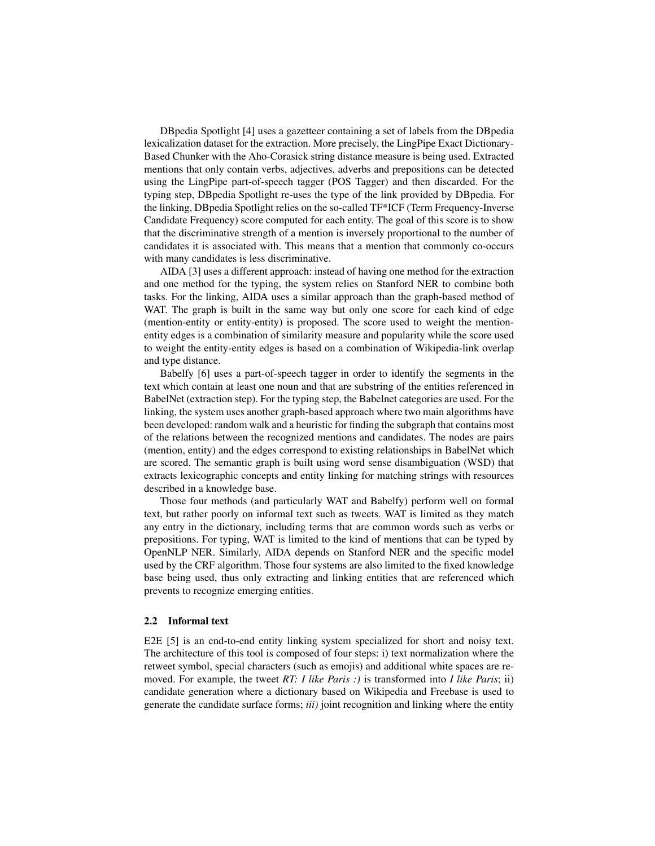DBpedia Spotlight [\[4\]](#page-11-1) uses a gazetteer containing a set of labels from the DBpedia lexicalization dataset for the extraction. More precisely, the LingPipe Exact Dictionary-Based Chunker with the Aho-Corasick string distance measure is being used. Extracted mentions that only contain verbs, adjectives, adverbs and prepositions can be detected using the LingPipe part-of-speech tagger (POS Tagger) and then discarded. For the typing step, DBpedia Spotlight re-uses the type of the link provided by DBpedia. For the linking, DBpedia Spotlight relies on the so-called TF\*ICF (Term Frequency-Inverse Candidate Frequency) score computed for each entity. The goal of this score is to show that the discriminative strength of a mention is inversely proportional to the number of candidates it is associated with. This means that a mention that commonly co-occurs with many candidates is less discriminative.

AIDA [\[3\]](#page-11-2) uses a different approach: instead of having one method for the extraction and one method for the typing, the system relies on Stanford NER to combine both tasks. For the linking, AIDA uses a similar approach than the graph-based method of WAT. The graph is built in the same way but only one score for each kind of edge (mention-entity or entity-entity) is proposed. The score used to weight the mentionentity edges is a combination of similarity measure and popularity while the score used to weight the entity-entity edges is based on a combination of Wikipedia-link overlap and type distance.

Babelfy [\[6\]](#page-11-3) uses a part-of-speech tagger in order to identify the segments in the text which contain at least one noun and that are substring of the entities referenced in BabelNet (extraction step). For the typing step, the Babelnet categories are used. For the linking, the system uses another graph-based approach where two main algorithms have been developed: random walk and a heuristic for finding the subgraph that contains most of the relations between the recognized mentions and candidates. The nodes are pairs (mention, entity) and the edges correspond to existing relationships in BabelNet which are scored. The semantic graph is built using word sense disambiguation (WSD) that extracts lexicographic concepts and entity linking for matching strings with resources described in a knowledge base.

Those four methods (and particularly WAT and Babelfy) perform well on formal text, but rather poorly on informal text such as tweets. WAT is limited as they match any entry in the dictionary, including terms that are common words such as verbs or prepositions. For typing, WAT is limited to the kind of mentions that can be typed by OpenNLP NER. Similarly, AIDA depends on Stanford NER and the specific model used by the CRF algorithm. Those four systems are also limited to the fixed knowledge base being used, thus only extracting and linking entities that are referenced which prevents to recognize emerging entities.

#### 2.2 Informal text

E2E [\[5\]](#page-11-4) is an end-to-end entity linking system specialized for short and noisy text. The architecture of this tool is composed of four steps: i) text normalization where the retweet symbol, special characters (such as emojis) and additional white spaces are removed. For example, the tweet *RT: I like Paris :)* is transformed into *I like Paris*; ii) candidate generation where a dictionary based on Wikipedia and Freebase is used to generate the candidate surface forms; *iii)* joint recognition and linking where the entity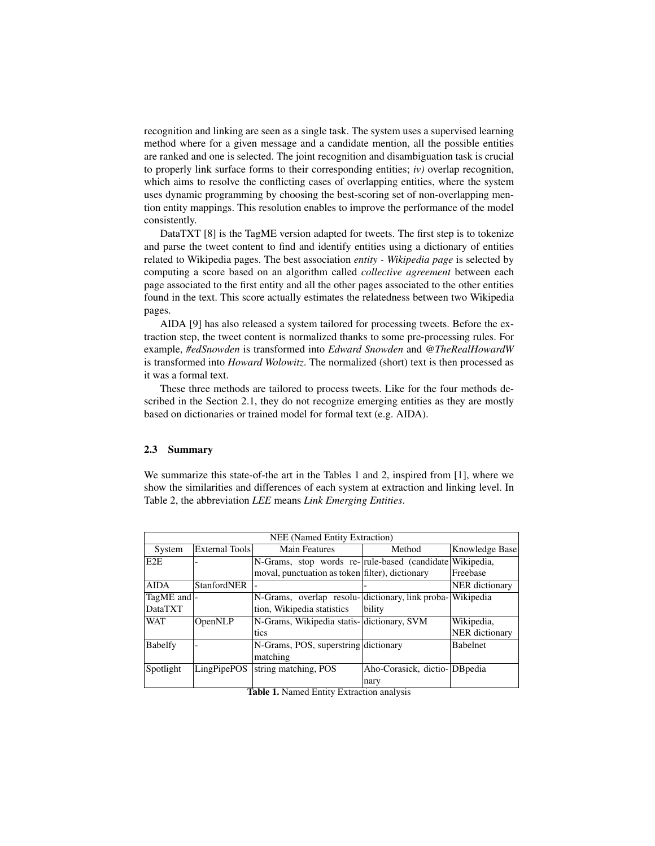recognition and linking are seen as a single task. The system uses a supervised learning method where for a given message and a candidate mention, all the possible entities are ranked and one is selected. The joint recognition and disambiguation task is crucial to properly link surface forms to their corresponding entities; *iv)* overlap recognition, which aims to resolve the conflicting cases of overlapping entities, where the system uses dynamic programming by choosing the best-scoring set of non-overlapping mention entity mappings. This resolution enables to improve the performance of the model consistently.

DataTXT [\[8\]](#page-11-5) is the TagME version adapted for tweets. The first step is to tokenize and parse the tweet content to find and identify entities using a dictionary of entities related to Wikipedia pages. The best association *entity - Wikipedia page* is selected by computing a score based on an algorithm called *collective agreement* between each page associated to the first entity and all the other pages associated to the other entities found in the text. This score actually estimates the relatedness between two Wikipedia pages.

AIDA [\[9\]](#page-11-6) has also released a system tailored for processing tweets. Before the extraction step, the tweet content is normalized thanks to some pre-processing rules. For example, *#edSnowden* is transformed into *Edward Snowden* and *@TheRealHowardW* is transformed into *Howard Wolowitz*. The normalized (short) text is then processed as it was a formal text.

These three methods are tailored to process tweets. Like for the four methods described in the Section [2.1,](#page-1-3) they do not recognize emerging entities as they are mostly based on dictionaries or trained model for formal text (e.g. AIDA).

#### 2.3 Summary

We summarize this state-of-the art in the Tables [1](#page-3-0) and [2,](#page-4-1) inspired from [\[1\]](#page-10-0), where we show the similarities and differences of each system at extraction and linking level. In Table [2,](#page-4-1) the abbreviation *LEE* means *Link Emerging Entities*.

|                | NEE (Named Entity Extraction) |                                                          |                              |                       |  |  |  |  |  |  |
|----------------|-------------------------------|----------------------------------------------------------|------------------------------|-----------------------|--|--|--|--|--|--|
| System         | External Tools                | <b>Main Features</b>                                     | Method                       | Knowledge Base        |  |  |  |  |  |  |
| E2E            |                               | N-Grams, stop words re- rule-based (candidate Wikipedia, |                              |                       |  |  |  |  |  |  |
|                |                               | moval, punctuation as token filter), dictionary          |                              | Freebase              |  |  |  |  |  |  |
| <b>AIDA</b>    | <b>StanfordNER</b>            |                                                          |                              | <b>NER</b> dictionary |  |  |  |  |  |  |
| TagME and  -   |                               | N-Grams, overlap resolu-dictionary, link proba-          |                              | Wikipedia             |  |  |  |  |  |  |
| <b>DataTXT</b> |                               | tion, Wikipedia statistics                               | bility                       |                       |  |  |  |  |  |  |
| <b>WAT</b>     | OpenNLP                       | N-Grams, Wikipedia statis-dictionary, SVM                |                              | Wikipedia,            |  |  |  |  |  |  |
|                |                               | tics                                                     |                              | NER dictionary        |  |  |  |  |  |  |
| <b>Babelfy</b> |                               | N-Grams, POS, superstring dictionary                     |                              | <b>Babelnet</b>       |  |  |  |  |  |  |
|                |                               | matching                                                 |                              |                       |  |  |  |  |  |  |
| Spotlight      | <b>LingPipePOS</b>            | string matching, POS                                     | Aho-Corasick, dictio-DBpedia |                       |  |  |  |  |  |  |
|                |                               |                                                          | nary                         |                       |  |  |  |  |  |  |

<span id="page-3-0"></span>Table 1. Named Entity Extraction analysis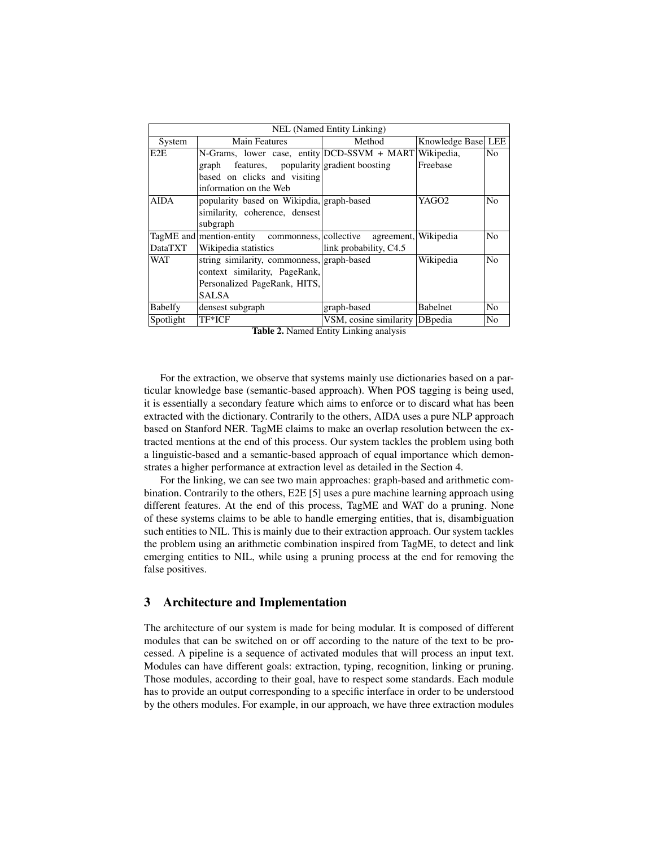|                  | NEL (Named Entity Linking)                                 |                                 |                    |    |  |  |  |  |  |
|------------------|------------------------------------------------------------|---------------------------------|--------------------|----|--|--|--|--|--|
| System           | <b>Main Features</b>                                       | Method                          | Knowledge Base LEE |    |  |  |  |  |  |
| E <sub>2</sub> E | N-Grams, lower case, entity DCD-SSVM + MART Wikipedia,     |                                 |                    | No |  |  |  |  |  |
|                  | features, popularity gradient boosting<br>graph            |                                 | Freebase           |    |  |  |  |  |  |
|                  | based on clicks and visiting                               |                                 |                    |    |  |  |  |  |  |
|                  | information on the Web                                     |                                 |                    |    |  |  |  |  |  |
| <b>AIDA</b>      | popularity based on Wikipdia, graph-based                  |                                 | YAGO2              | No |  |  |  |  |  |
|                  | similarity, coherence, densest                             |                                 |                    |    |  |  |  |  |  |
|                  | subgraph                                                   |                                 |                    |    |  |  |  |  |  |
|                  | TagME and mention-entity commonness, collective agreement, |                                 | Wikipedia          | No |  |  |  |  |  |
| DataTXT          | Wikipedia statistics                                       | link probability, C4.5          |                    |    |  |  |  |  |  |
| <b>WAT</b>       | string similarity, commonness, graph-based                 |                                 | Wikipedia          | No |  |  |  |  |  |
|                  | context similarity, PageRank,                              |                                 |                    |    |  |  |  |  |  |
|                  | Personalized PageRank, HITS,                               |                                 |                    |    |  |  |  |  |  |
|                  | <b>SALSA</b>                                               |                                 |                    |    |  |  |  |  |  |
| <b>Babelfy</b>   | densest subgraph                                           | graph-based                     | <b>Babelnet</b>    | No |  |  |  |  |  |
| Spotlight        | TF*ICF                                                     | VSM, cosine similarity DB pedia |                    | No |  |  |  |  |  |

<span id="page-4-1"></span>

| Table 2. Named Entity Linking analysis |  |  |  |  |
|----------------------------------------|--|--|--|--|
|----------------------------------------|--|--|--|--|

For the extraction, we observe that systems mainly use dictionaries based on a particular knowledge base (semantic-based approach). When POS tagging is being used, it is essentially a secondary feature which aims to enforce or to discard what has been extracted with the dictionary. Contrarily to the others, AIDA uses a pure NLP approach based on Stanford NER. TagME claims to make an overlap resolution between the extracted mentions at the end of this process. Our system tackles the problem using both a linguistic-based and a semantic-based approach of equal importance which demonstrates a higher performance at extraction level as detailed in the Section [4.](#page-7-0)

For the linking, we can see two main approaches: graph-based and arithmetic combination. Contrarily to the others, E2E [\[5\]](#page-11-4) uses a pure machine learning approach using different features. At the end of this process, TagME and WAT do a pruning. None of these systems claims to be able to handle emerging entities, that is, disambiguation such entities to NIL. This is mainly due to their extraction approach. Our system tackles the problem using an arithmetic combination inspired from TagME, to detect and link emerging entities to NIL, while using a pruning process at the end for removing the false positives.

## <span id="page-4-0"></span>3 Architecture and Implementation

The architecture of our system is made for being modular. It is composed of different modules that can be switched on or off according to the nature of the text to be processed. A pipeline is a sequence of activated modules that will process an input text. Modules can have different goals: extraction, typing, recognition, linking or pruning. Those modules, according to their goal, have to respect some standards. Each module has to provide an output corresponding to a specific interface in order to be understood by the others modules. For example, in our approach, we have three extraction modules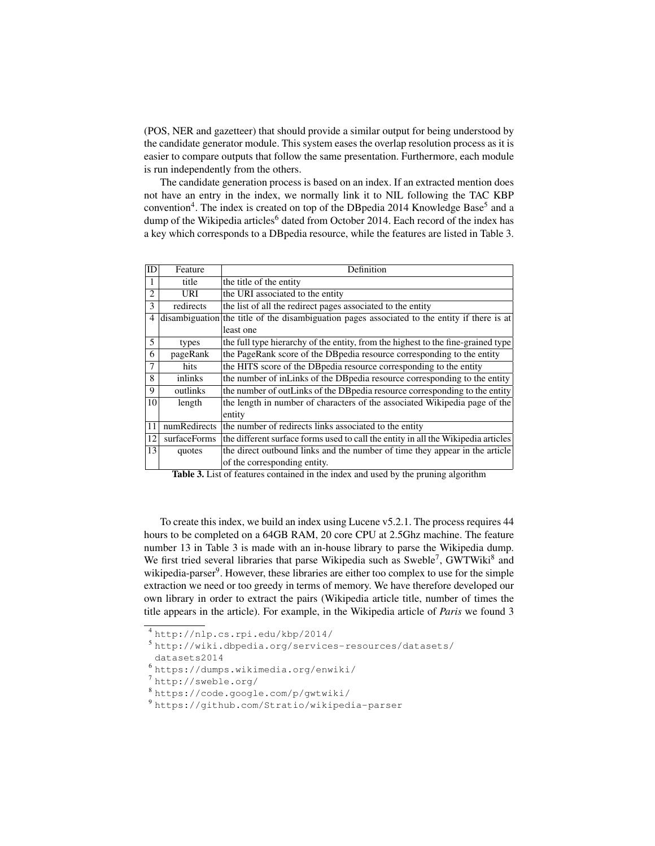(POS, NER and gazetteer) that should provide a similar output for being understood by the candidate generator module. This system eases the overlap resolution process as it is easier to compare outputs that follow the same presentation. Furthermore, each module is run independently from the others.

The candidate generation process is based on an index. If an extracted mention does not have an entry in the index, we normally link it to NIL following the TAC KBP convention<sup>[4](#page-5-0)</sup>. The index is created on top of the DBpedia 2014 Knowledge Base<sup>[5](#page-5-1)</sup> and a dump of the Wikipedia articles<sup>[6](#page-5-2)</sup> dated from October 2014. Each record of the index has a key which corresponds to a DBpedia resource, while the features are listed in Table [3.](#page-5-3)

| ID              | Feature      | Definition                                                                                   |
|-----------------|--------------|----------------------------------------------------------------------------------------------|
|                 | title        | the title of the entity                                                                      |
| $\overline{2}$  | URI          | the URI associated to the entity                                                             |
| 3               | redirects    | the list of all the redirect pages associated to the entity                                  |
| 4               |              | disambiguation the title of the disambiguation pages associated to the entity if there is at |
|                 |              | least one                                                                                    |
| 5               | types        | the full type hierarchy of the entity, from the highest to the fine-grained type             |
| 6               | pageRank     | the PageRank score of the DB pedia resource corresponding to the entity                      |
| 7               | hits         | the HITS score of the DB pedia resource corresponding to the entity                          |
| 8               | inlinks      | the number of inLinks of the DB pedia resource corresponding to the entity                   |
| 9               | outlinks     | the number of outLinks of the DBpedia resource corresponding to the entity                   |
| 10 <sup>1</sup> | length       | the length in number of characters of the associated Wikipedia page of the                   |
|                 |              | entity                                                                                       |
| 11              | numRedirects | the number of redirects links associated to the entity                                       |
| 12              | surfaceForms | the different surface forms used to call the entity in all the Wikipedia articles            |
| 13              | quotes       | the direct outbound links and the number of time they appear in the article                  |
|                 |              | of the corresponding entity.                                                                 |

<span id="page-5-3"></span>Table 3. List of features contained in the index and used by the pruning algorithm

To create this index, we build an index using Lucene v5.2.1. The process requires 44 hours to be completed on a 64GB RAM, 20 core CPU at 2.5Ghz machine. The feature number 13 in Table [3](#page-5-3) is made with an in-house library to parse the Wikipedia dump. We first tried several libraries that parse Wikipedia such as Sweble<sup>[7](#page-5-4)</sup>, GWTWiki<sup>[8](#page-5-5)</sup> and wikipedia-parser<sup>[9](#page-5-6)</sup>. However, these libraries are either too complex to use for the simple extraction we need or too greedy in terms of memory. We have therefore developed our own library in order to extract the pairs (Wikipedia article title, number of times the title appears in the article). For example, in the Wikipedia article of *Paris* we found 3

<span id="page-5-1"></span><sup>5</sup> [http://wiki.dbpedia.org/services-resources/datasets/](http://wiki.dbpedia.org/services-resources/datasets/datasets2014)

- <span id="page-5-4"></span><sup>7</sup> <http://sweble.org/>
- <span id="page-5-5"></span><sup>8</sup> <https://code.google.com/p/gwtwiki/>
- <span id="page-5-6"></span><sup>9</sup> <https://github.com/Stratio/wikipedia-parser>

<span id="page-5-0"></span><sup>4</sup> <http://nlp.cs.rpi.edu/kbp/2014/>

[datasets2014](http://wiki.dbpedia.org/services-resources/datasets/datasets2014)

<span id="page-5-2"></span><sup>6</sup> <https://dumps.wikimedia.org/enwiki/>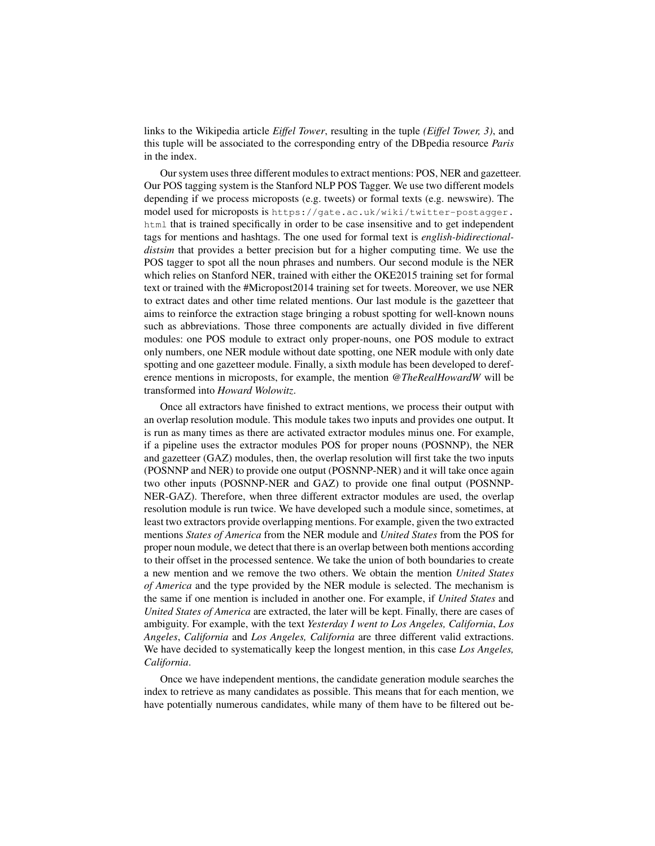links to the Wikipedia article *Eiffel Tower*, resulting in the tuple *(Eiffel Tower, 3)*, and this tuple will be associated to the corresponding entry of the DBpedia resource *Paris* in the index.

Our system uses three different modules to extract mentions: POS, NER and gazetteer. Our POS tagging system is the Stanford NLP POS Tagger. We use two different models depending if we process microposts (e.g. tweets) or formal texts (e.g. newswire). The model used for microposts is [https://gate.ac.uk/wiki/twitter-postagger.](https://gate.ac.uk/wiki/twitter-postagger.html) [html](https://gate.ac.uk/wiki/twitter-postagger.html) that is trained specifically in order to be case insensitive and to get independent tags for mentions and hashtags. The one used for formal text is *english-bidirectionaldistsim* that provides a better precision but for a higher computing time. We use the POS tagger to spot all the noun phrases and numbers. Our second module is the NER which relies on Stanford NER, trained with either the OKE2015 training set for formal text or trained with the #Micropost2014 training set for tweets. Moreover, we use NER to extract dates and other time related mentions. Our last module is the gazetteer that aims to reinforce the extraction stage bringing a robust spotting for well-known nouns such as abbreviations. Those three components are actually divided in five different modules: one POS module to extract only proper-nouns, one POS module to extract only numbers, one NER module without date spotting, one NER module with only date spotting and one gazetteer module. Finally, a sixth module has been developed to dereference mentions in microposts, for example, the mention *@TheRealHowardW* will be transformed into *Howard Wolowitz*.

Once all extractors have finished to extract mentions, we process their output with an overlap resolution module. This module takes two inputs and provides one output. It is run as many times as there are activated extractor modules minus one. For example, if a pipeline uses the extractor modules POS for proper nouns (POSNNP), the NER and gazetteer (GAZ) modules, then, the overlap resolution will first take the two inputs (POSNNP and NER) to provide one output (POSNNP-NER) and it will take once again two other inputs (POSNNP-NER and GAZ) to provide one final output (POSNNP-NER-GAZ). Therefore, when three different extractor modules are used, the overlap resolution module is run twice. We have developed such a module since, sometimes, at least two extractors provide overlapping mentions. For example, given the two extracted mentions *States of America* from the NER module and *United States* from the POS for proper noun module, we detect that there is an overlap between both mentions according to their offset in the processed sentence. We take the union of both boundaries to create a new mention and we remove the two others. We obtain the mention *United States of America* and the type provided by the NER module is selected. The mechanism is the same if one mention is included in another one. For example, if *United States* and *United States of America* are extracted, the later will be kept. Finally, there are cases of ambiguity. For example, with the text *Yesterday I went to Los Angeles, California*, *Los Angeles*, *California* and *Los Angeles, California* are three different valid extractions. We have decided to systematically keep the longest mention, in this case *Los Angeles, California*.

Once we have independent mentions, the candidate generation module searches the index to retrieve as many candidates as possible. This means that for each mention, we have potentially numerous candidates, while many of them have to be filtered out be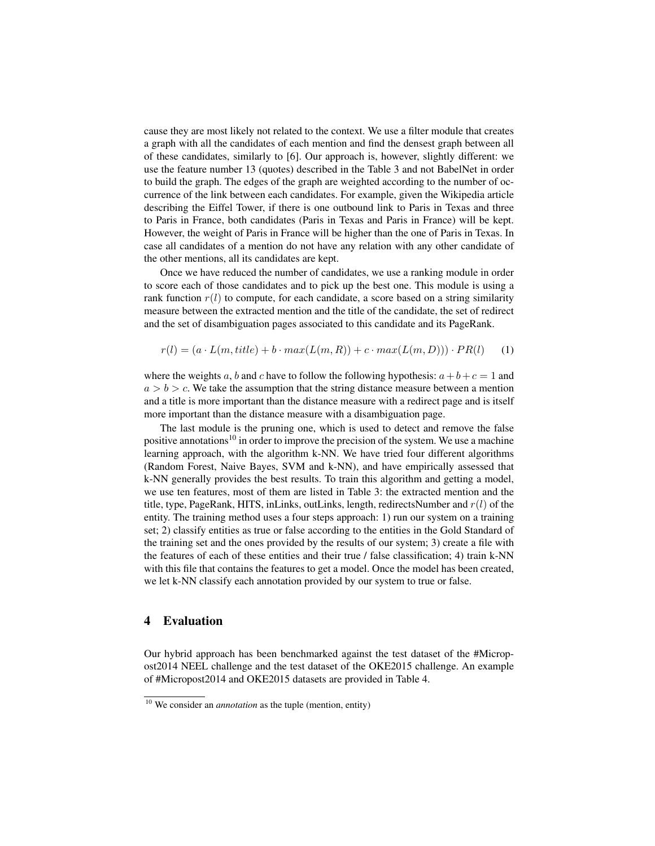cause they are most likely not related to the context. We use a filter module that creates a graph with all the candidates of each mention and find the densest graph between all of these candidates, similarly to [\[6\]](#page-11-3). Our approach is, however, slightly different: we use the feature number 13 (quotes) described in the Table [3](#page-5-3) and not BabelNet in order to build the graph. The edges of the graph are weighted according to the number of occurrence of the link between each candidates. For example, given the Wikipedia article describing the Eiffel Tower, if there is one outbound link to Paris in Texas and three to Paris in France, both candidates (Paris in Texas and Paris in France) will be kept. However, the weight of Paris in France will be higher than the one of Paris in Texas. In case all candidates of a mention do not have any relation with any other candidate of the other mentions, all its candidates are kept.

Once we have reduced the number of candidates, we use a ranking module in order to score each of those candidates and to pick up the best one. This module is using a rank function  $r(l)$  to compute, for each candidate, a score based on a string similarity measure between the extracted mention and the title of the candidate, the set of redirect and the set of disambiguation pages associated to this candidate and its PageRank.

$$
r(l) = (a \cdot L(m, title) + b \cdot max(L(m, R)) + c \cdot max(L(m, D))) \cdot PR(l)
$$
 (1)

where the weights a, b and c have to follow the following hypothesis:  $a+b+c=1$  and  $a > b > c$ . We take the assumption that the string distance measure between a mention and a title is more important than the distance measure with a redirect page and is itself more important than the distance measure with a disambiguation page.

The last module is the pruning one, which is used to detect and remove the false positive annotations<sup>[10](#page-7-1)</sup> in order to improve the precision of the system. We use a machine learning approach, with the algorithm k-NN. We have tried four different algorithms (Random Forest, Naive Bayes, SVM and k-NN), and have empirically assessed that k-NN generally provides the best results. To train this algorithm and getting a model, we use ten features, most of them are listed in Table [3:](#page-5-3) the extracted mention and the title, type, PageRank, HITS, inLinks, outLinks, length, redirectsNumber and  $r(l)$  of the entity. The training method uses a four steps approach: 1) run our system on a training set; 2) classify entities as true or false according to the entities in the Gold Standard of the training set and the ones provided by the results of our system; 3) create a file with the features of each of these entities and their true / false classification; 4) train k-NN with this file that contains the features to get a model. Once the model has been created, we let k-NN classify each annotation provided by our system to true or false.

#### <span id="page-7-0"></span>4 Evaluation

Our hybrid approach has been benchmarked against the test dataset of the #Micropost2014 NEEL challenge and the test dataset of the OKE2015 challenge. An example of #Micropost2014 and OKE2015 datasets are provided in Table [4.](#page-8-0)

<span id="page-7-1"></span><sup>10</sup> We consider an *annotation* as the tuple (mention, entity)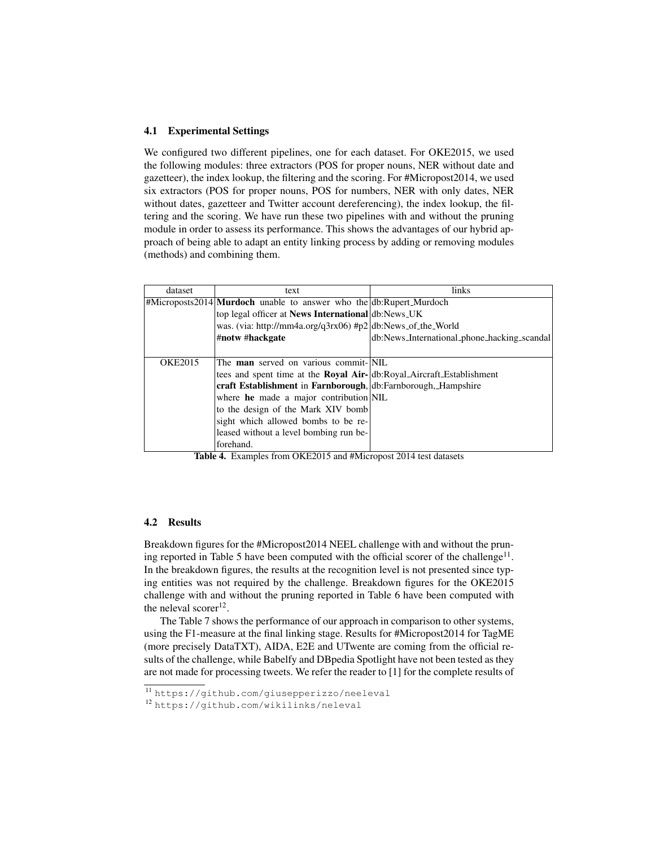#### 4.1 Experimental Settings

We configured two different pipelines, one for each dataset. For OKE2015, we used the following modules: three extractors (POS for proper nouns, NER without date and gazetteer), the index lookup, the filtering and the scoring. For #Micropost2014, we used six extractors (POS for proper nouns, POS for numbers, NER with only dates, NER without dates, gazetteer and Twitter account dereferencing), the index lookup, the filtering and the scoring. We have run these two pipelines with and without the pruning module in order to assess its performance. This shows the advantages of our hybrid approach of being able to adapt an entity linking process by adding or removing modules (methods) and combining them.

| dataset        | text                                                                                    | links                                       |
|----------------|-----------------------------------------------------------------------------------------|---------------------------------------------|
|                | $ \# \text{Microsofts2014} $ <b>Murdoch</b> unable to answer who the db: Rupert_Murdoch |                                             |
|                | top legal officer at News International db:News_UK                                      |                                             |
|                | was. (via: http://mm4a.org/q3rx06) #p2 db:News_of_the_World                             |                                             |
|                | #notw #hackgate                                                                         | db:News_International_phone_hacking_scandal |
|                |                                                                                         |                                             |
| <b>OKE2015</b> | The <b>man</b> served on various commit-[NIL                                            |                                             |
|                | tees and spent time at the <b>Royal Air-</b> db:Royal Aircraft Establishment            |                                             |
|                | craft Establishment in Farnborough, db: Farnborough, Hampshire                          |                                             |
|                | where he made a major contribution NIL                                                  |                                             |
|                | to the design of the Mark XIV bomb                                                      |                                             |
|                | sight which allowed bombs to be re-                                                     |                                             |
|                | leased without a level bombing run be-                                                  |                                             |
|                | forehand.                                                                               |                                             |

<span id="page-8-0"></span>Table 4. Examples from OKE2015 and #Micropost 2014 test datasets

## 4.2 Results

Breakdown figures for the #Micropost2014 NEEL challenge with and without the prun-ing reported in Table [5](#page-9-1) have been computed with the official scorer of the challenge<sup>[11](#page-8-1)</sup>. In the breakdown figures, the results at the recognition level is not presented since typing entities was not required by the challenge. Breakdown figures for the OKE2015 challenge with and without the pruning reported in Table [6](#page-9-2) have been computed with the neleval scorer $^{12}$  $^{12}$  $^{12}$ .

The Table [7](#page-9-3) shows the performance of our approach in comparison to other systems, using the F1-measure at the final linking stage. Results for #Micropost2014 for TagME (more precisely DataTXT), AIDA, E2E and UTwente are coming from the official results of the challenge, while Babelfy and DBpedia Spotlight have not been tested as they are not made for processing tweets. We refer the reader to [\[1\]](#page-10-0) for the complete results of

<span id="page-8-1"></span><sup>11</sup> <https://github.com/giusepperizzo/neeleval>

<span id="page-8-2"></span><sup>12</sup> <https://github.com/wikilinks/neleval>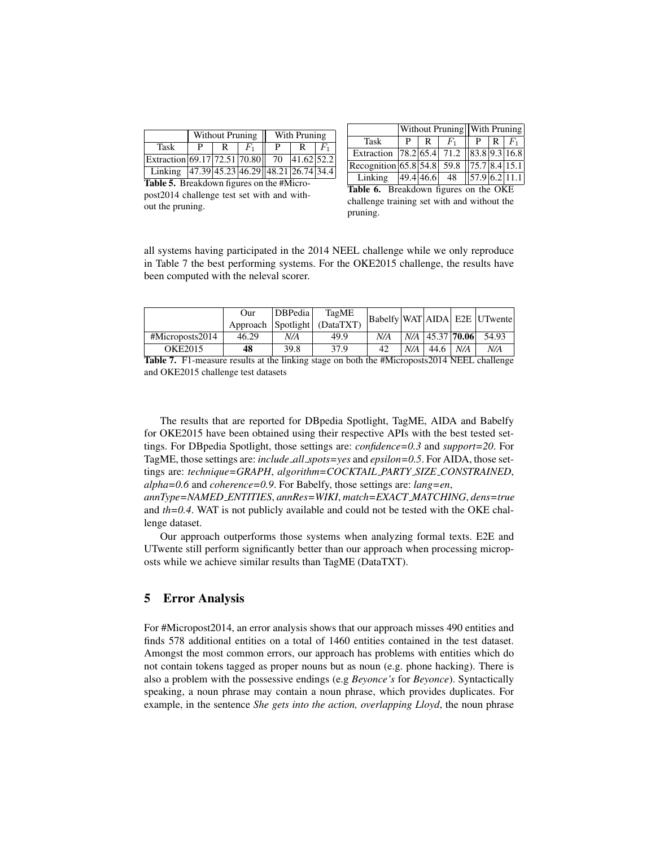|                                            |   | Without Pruning |   | With Pruning |    |
|--------------------------------------------|---|-----------------|---|--------------|----|
| Task                                       | D | $F_1$           | р |              | F, |
| Extraction 69.17 72.51 70.80 70            |   |                 |   | 41.62 52.2   |    |
| Linking 47.39 45.23 46.29 48.21 26.74 34.4 |   |                 |   |              |    |

|                                          |          |   |                                   | Without Pruning <sup>With</sup> Pruning |       |       |  |
|------------------------------------------|----------|---|-----------------------------------|-----------------------------------------|-------|-------|--|
| Task                                     | <b>D</b> | R | $F_1$                             |                                         | P   R | $F_1$ |  |
| Extraction 78.2 65.4 71.2 83.8 9.3 16.8  |          |   |                                   |                                         |       |       |  |
| Recognition 65.8 54.8 59.8 75.7 8.4 15.1 |          |   |                                   |                                         |       |       |  |
| Linking                                  |          |   | $ 49.4 46.6 $ 48 $ 57.9 6.2 11.1$ |                                         |       |       |  |

<span id="page-9-1"></span>Table 5. Breakdown figures on the #Micropost2014 challenge test set with and without the pruning.

<span id="page-9-2"></span>Table 6. Breakdown figures on the OKE challenge training set with and without the pruning.

all systems having participated in the 2014 NEEL challenge while we only reproduce in Table [7](#page-9-3) the best performing systems. For the OKE2015 challenge, the results have been computed with the neleval scorer.

|                 | Our   | <b>DBPedia</b> | TagME                        |     |     |                       |     | Babelfy WAT AIDA E2E UTwente |
|-----------------|-------|----------------|------------------------------|-----|-----|-----------------------|-----|------------------------------|
|                 |       |                | Approach Spotlight (DataTXT) |     |     |                       |     |                              |
| #Microposts2014 | 46.29 | N/A            | 49.9                         | N/A |     | $N/A$   45.37   70.06 |     | 54.93                        |
| OKE2015         | 48    | 39.8           | 37.9                         | 42  | N/A | 44.6                  | N/A | N/A                          |

<span id="page-9-3"></span>Table 7. F1-measure results at the linking stage on both the #Microposts2014 NEEL challenge and OKE2015 challenge test datasets

The results that are reported for DBpedia Spotlight, TagME, AIDA and Babelfy for OKE2015 have been obtained using their respective APIs with the best tested settings. For DBpedia Spotlight, those settings are: *confidence=0.3* and *support=20*. For TagME, those settings are: *include all spots=yes* and *epsilon=0.5*. For AIDA, those settings are: *technique=GRAPH*, *algorithm=COCKTAIL PARTY SIZE CONSTRAINED*, *alpha=0.6* and *coherence=0.9*. For Babelfy, those settings are: *lang=en*,

*annType=NAMED ENTITIES*, *annRes=WIKI*, *match=EXACT MATCHING*, *dens=true* and *th=0.4*. WAT is not publicly available and could not be tested with the OKE challenge dataset.

Our approach outperforms those systems when analyzing formal texts. E2E and UTwente still perform significantly better than our approach when processing microposts while we achieve similar results than TagME (DataTXT).

# <span id="page-9-0"></span>5 Error Analysis

For #Micropost2014, an error analysis shows that our approach misses 490 entities and finds 578 additional entities on a total of 1460 entities contained in the test dataset. Amongst the most common errors, our approach has problems with entities which do not contain tokens tagged as proper nouns but as noun (e.g. phone hacking). There is also a problem with the possessive endings (e.g *Beyonce's* for *Beyonce*). Syntactically speaking, a noun phrase may contain a noun phrase, which provides duplicates. For example, in the sentence *She gets into the action, overlapping Lloyd*, the noun phrase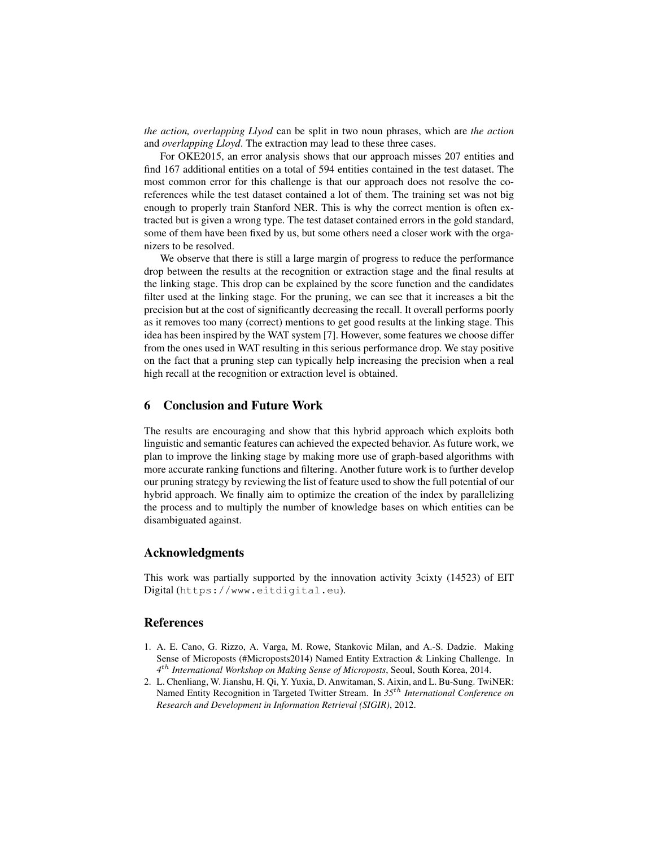*the action, overlapping Llyod* can be split in two noun phrases, which are *the action* and *overlapping Lloyd*. The extraction may lead to these three cases.

For OKE2015, an error analysis shows that our approach misses 207 entities and find 167 additional entities on a total of 594 entities contained in the test dataset. The most common error for this challenge is that our approach does not resolve the coreferences while the test dataset contained a lot of them. The training set was not big enough to properly train Stanford NER. This is why the correct mention is often extracted but is given a wrong type. The test dataset contained errors in the gold standard, some of them have been fixed by us, but some others need a closer work with the organizers to be resolved.

We observe that there is still a large margin of progress to reduce the performance drop between the results at the recognition or extraction stage and the final results at the linking stage. This drop can be explained by the score function and the candidates filter used at the linking stage. For the pruning, we can see that it increases a bit the precision but at the cost of significantly decreasing the recall. It overall performs poorly as it removes too many (correct) mentions to get good results at the linking stage. This idea has been inspired by the WAT system [\[7\]](#page-11-0). However, some features we choose differ from the ones used in WAT resulting in this serious performance drop. We stay positive on the fact that a pruning step can typically help increasing the precision when a real high recall at the recognition or extraction level is obtained.

#### <span id="page-10-1"></span>6 Conclusion and Future Work

The results are encouraging and show that this hybrid approach which exploits both linguistic and semantic features can achieved the expected behavior. As future work, we plan to improve the linking stage by making more use of graph-based algorithms with more accurate ranking functions and filtering. Another future work is to further develop our pruning strategy by reviewing the list of feature used to show the full potential of our hybrid approach. We finally aim to optimize the creation of the index by parallelizing the process and to multiply the number of knowledge bases on which entities can be disambiguated against.

#### Acknowledgments

This work was partially supported by the innovation activity 3cixty (14523) of EIT Digital (<https://www.eitdigital.eu>).

#### References

- <span id="page-10-0"></span>1. A. E. Cano, G. Rizzo, A. Varga, M. Rowe, Stankovic Milan, and A.-S. Dadzie. Making Sense of Microposts (#Microposts2014) Named Entity Extraction & Linking Challenge. In *4* th *International Workshop on Making Sense of Microposts*, Seoul, South Korea, 2014.
- 2. L. Chenliang, W. Jianshu, H. Qi, Y. Yuxia, D. Anwitaman, S. Aixin, and L. Bu-Sung. TwiNER: Named Entity Recognition in Targeted Twitter Stream. In *35*th *International Conference on Research and Development in Information Retrieval (SIGIR)*, 2012.